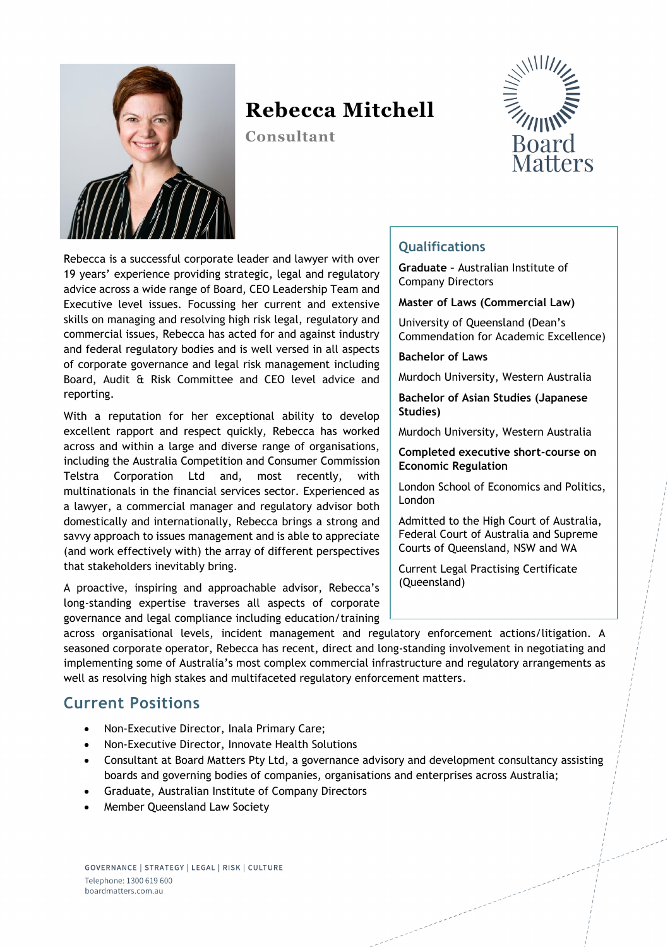

# **Rebecca Mitchell**

**Consultant**



Rebecca is a successful corporate leader and lawyer with over 19 years' experience providing strategic, legal and regulatory advice across a wide range of Board, CEO Leadership Team and Executive level issues. Focussing her current and extensive skills on managing and resolving high risk legal, regulatory and commercial issues, Rebecca has acted for and against industry and federal regulatory bodies and is well versed in all aspects of corporate governance and legal risk management including Board, Audit & Risk Committee and CEO level advice and reporting.

With a reputation for her exceptional ability to develop excellent rapport and respect quickly, Rebecca has worked across and within a large and diverse range of organisations, including the Australia Competition and Consumer Commission Telstra Corporation Ltd and, most recently, with multinationals in the financial services sector. Experienced as a lawyer, a commercial manager and regulatory advisor both domestically and internationally, Rebecca brings a strong and savvy approach to issues management and is able to appreciate (and work effectively with) the array of different perspectives that stakeholders inevitably bring.

A proactive, inspiring and approachable advisor, Rebecca's long-standing expertise traverses all aspects of corporate governance and legal compliance including education/training

#### **Qualifications**

**Graduate –** Australian Institute of Company Directors

#### **Master of Laws (Commercial Law)**

University of Queensland (Dean's Commendation for Academic Excellence)

**Bachelor of Laws**

Murdoch University, Western Australia

**Bachelor of Asian Studies (Japanese Studies)**

Murdoch University, Western Australia

**Completed executive short-course on Economic Regulation**

London School of Economics and Politics, London

Admitted to the High Court of Australia, Federal Court of Australia and Supreme Courts of Queensland, NSW and WA

Current Legal Practising Certificate (Queensland)

across organisational levels, incident management and regulatory enforcement actions/litigation. A seasoned corporate operator, Rebecca has recent, direct and long-standing involvement in negotiating and implementing some of Australia's most complex commercial infrastructure and regulatory arrangements as well as resolving high stakes and multifaceted regulatory enforcement matters.

### **Current Positions**

- Non-Executive Director, Inala Primary Care;
- Non-Executive Director, Innovate Health Solutions
- Consultant at Board Matters Pty Ltd, a governance advisory and development consultancy assisting boards and governing bodies of companies, organisations and enterprises across Australia;
- Graduate, Australian Institute of Company Directors
- Member Queensland Law Society

GOVERNANCE | STRATEGY | LEGAL | RISK | CULTURE Telephone: 1300 619 600 boardmatters.com.au